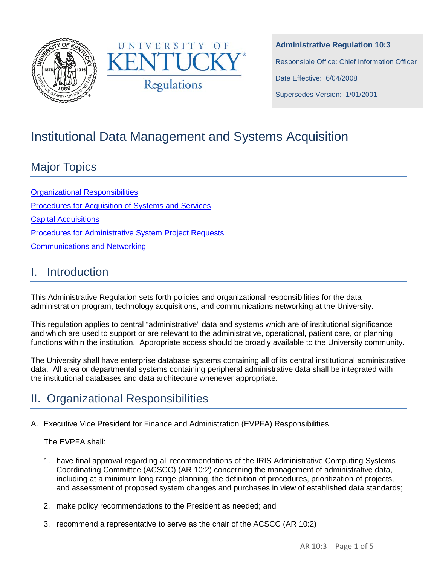



**Administrative Regulation 10:3** Responsible Office: Chief Information Officer Date Effective: 6/04/2008 Supersedes Version: 1/01/2001

# Institutional Data Management and Systems Acquisition

# Major Topics

**[Organizational Responsibilities](#page-0-0)** [Procedures for Acquisition of Systems and Services](#page-1-0) [Capital Acquisitions](#page-2-0) [Procedures for Administrative System Project Requests](#page-2-1) [Communications and Networking](#page-3-0) 

### I. Introduction

This Administrative Regulation sets forth policies and organizational responsibilities for the data administration program, technology acquisitions, and communications networking at the University.

This regulation applies to central "administrative" data and systems which are of institutional significance and which are used to support or are relevant to the administrative, operational, patient care, or planning functions within the institution. Appropriate access should be broadly available to the University community.

The University shall have enterprise database systems containing all of its central institutional administrative data. All area or departmental systems containing peripheral administrative data shall be integrated with the institutional databases and data architecture whenever appropriate.

# <span id="page-0-0"></span>II. Organizational Responsibilities

#### A. Executive Vice President for Finance and Administration (EVPFA) Responsibilities

The EVPFA shall:

- 1. have final approval regarding all recommendations of the IRIS Administrative Computing Systems Coordinating Committee (ACSCC) (AR 10:2) concerning the management of administrative data, including at a minimum long range planning, the definition of procedures, prioritization of projects, and assessment of proposed system changes and purchases in view of established data standards;
- 2. make policy recommendations to the President as needed; and
- 3. recommend a representative to serve as the chair of the ACSCC (AR 10:2)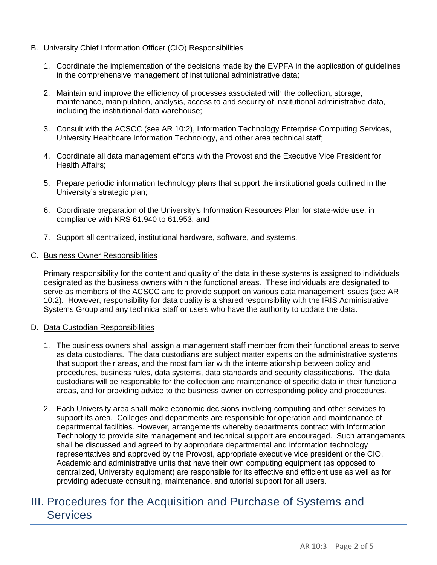#### B. University Chief Information Officer (CIO) Responsibilities

- 1. Coordinate the implementation of the decisions made by the EVPFA in the application of guidelines in the comprehensive management of institutional administrative data;
- 2. Maintain and improve the efficiency of processes associated with the collection, storage, maintenance, manipulation, analysis, access to and security of institutional administrative data, including the institutional data warehouse;
- 3. Consult with the ACSCC (see AR 10:2), Information Technology Enterprise Computing Services, University Healthcare Information Technology, and other area technical staff;
- 4. Coordinate all data management efforts with the Provost and the Executive Vice President for Health Affairs;
- 5. Prepare periodic information technology plans that support the institutional goals outlined in the University's strategic plan;
- 6. Coordinate preparation of the University's Information Resources Plan for state-wide use, in compliance with KRS 61.940 to 61.953; and
- 7. Support all centralized, institutional hardware, software, and systems.

#### C. Business Owner Responsibilities

Primary responsibility for the content and quality of the data in these systems is assigned to individuals designated as the business owners within the functional areas. These individuals are designated to serve as members of the ACSCC and to provide support on various data management issues (see AR 10:2). However, responsibility for data quality is a shared responsibility with the IRIS Administrative Systems Group and any technical staff or users who have the authority to update the data.

#### D. Data Custodian Responsibilities

- 1. The business owners shall assign a management staff member from their functional areas to serve as data custodians. The data custodians are subject matter experts on the administrative systems that support their areas, and the most familiar with the interrelationship between policy and procedures, business rules, data systems, data standards and security classifications. The data custodians will be responsible for the collection and maintenance of specific data in their functional areas, and for providing advice to the business owner on corresponding policy and procedures.
- 2. Each University area shall make economic decisions involving computing and other services to support its area. Colleges and departments are responsible for operation and maintenance of departmental facilities. However, arrangements whereby departments contract with Information Technology to provide site management and technical support are encouraged. Such arrangements shall be discussed and agreed to by appropriate departmental and information technology representatives and approved by the Provost, appropriate executive vice president or the CIO. Academic and administrative units that have their own computing equipment (as opposed to centralized, University equipment) are responsible for its effective and efficient use as well as for providing adequate consulting, maintenance, and tutorial support for all users.

### <span id="page-1-0"></span>III. Procedures for the Acquisition and Purchase of Systems and **Services**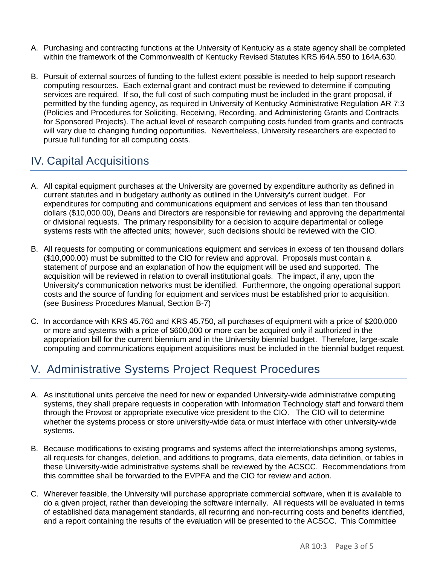- A. Purchasing and contracting functions at the University of Kentucky as a state agency shall be completed within the framework of the Commonwealth of Kentucky Revised Statutes KRS l64A.550 to 164A.630.
- B. Pursuit of external sources of funding to the fullest extent possible is needed to help support research computing resources. Each external grant and contract must be reviewed to determine if computing services are required. If so, the full cost of such computing must be included in the grant proposal, if permitted by the funding agency, as required in University of Kentucky Administrative Regulation AR 7:3 (Policies and Procedures for Soliciting, Receiving, Recording, and Administering Grants and Contracts for Sponsored Projects). The actual level of research computing costs funded from grants and contracts will vary due to changing funding opportunities. Nevertheless, University researchers are expected to pursue full funding for all computing costs.

## <span id="page-2-0"></span>IV. Capital Acquisitions

- A. All capital equipment purchases at the University are governed by expenditure authority as defined in current statutes and in budgetary authority as outlined in the University's current budget. For expenditures for computing and communications equipment and services of less than ten thousand dollars (\$10,000.00), Deans and Directors are responsible for reviewing and approving the departmental or divisional requests. The primary responsibility for a decision to acquire departmental or college systems rests with the affected units; however, such decisions should be reviewed with the CIO.
- B. All requests for computing or communications equipment and services in excess of ten thousand dollars (\$10,000.00) must be submitted to the CIO for review and approval. Proposals must contain a statement of purpose and an explanation of how the equipment will be used and supported. The acquisition will be reviewed in relation to overall institutional goals. The impact, if any, upon the University's communication networks must be identified. Furthermore, the ongoing operational support costs and the source of funding for equipment and services must be established prior to acquisition. (see Business Procedures Manual, Section B-7)
- C. In accordance with KRS 45.760 and KRS 45.750, all purchases of equipment with a price of \$200,000 or more and systems with a price of \$600,000 or more can be acquired only if authorized in the appropriation bill for the current biennium and in the University biennial budget. Therefore, large-scale computing and communications equipment acquisitions must be included in the biennial budget request.

## <span id="page-2-1"></span>V. Administrative Systems Project Request Procedures

- A. As institutional units perceive the need for new or expanded University-wide administrative computing systems, they shall prepare requests in cooperation with Information Technology staff and forward them through the Provost or appropriate executive vice president to the CIO. The CIO will to determine whether the systems process or store university-wide data or must interface with other university-wide systems.
- B. Because modifications to existing programs and systems affect the interrelationships among systems, all requests for changes, deletion, and additions to programs, data elements, data definition, or tables in these University-wide administrative systems shall be reviewed by the ACSCC. Recommendations from this committee shall be forwarded to the EVPFA and the CIO for review and action.
- C. Wherever feasible, the University will purchase appropriate commercial software, when it is available to do a given project, rather than developing the software internally. All requests will be evaluated in terms of established data management standards, all recurring and non-recurring costs and benefits identified, and a report containing the results of the evaluation will be presented to the ACSCC. This Committee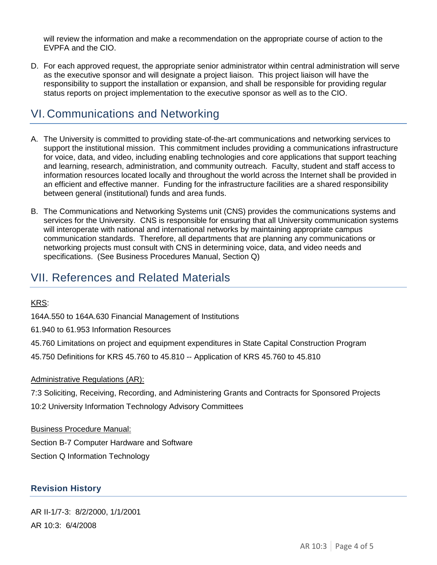will review the information and make a recommendation on the appropriate course of action to the EVPFA and the CIO.

D. For each approved request, the appropriate senior administrator within central administration will serve as the executive sponsor and will designate a project liaison. This project liaison will have the responsibility to support the installation or expansion, and shall be responsible for providing regular status reports on project implementation to the executive sponsor as well as to the CIO.

### <span id="page-3-0"></span>VI. Communications and Networking

- A. The University is committed to providing state-of-the-art communications and networking services to support the institutional mission. This commitment includes providing a communications infrastructure for voice, data, and video, including enabling technologies and core applications that support teaching and learning, research, administration, and community outreach. Faculty, student and staff access to information resources located locally and throughout the world across the Internet shall be provided in an efficient and effective manner. Funding for the infrastructure facilities are a shared responsibility between general (institutional) funds and area funds.
- B. The Communications and Networking Systems unit (CNS) provides the communications systems and services for the University. CNS is responsible for ensuring that all University communication systems will interoperate with national and international networks by maintaining appropriate campus communication standards. Therefore, all departments that are planning any communications or networking projects must consult with CNS in determining voice, data, and video needs and specifications. (See Business Procedures Manual, Section Q)

### VII. References and Related Materials

#### KRS:

164A.550 to 164A.630 Financial Management of Institutions

61.940 to 61.953 Information Resources

45.760 Limitations on project and equipment expenditures in State Capital Construction Program

45.750 Definitions for KRS 45.760 to 45.810 -- Application of KRS 45.760 to 45.810

#### Administrative Regulations (AR):

7:3 Soliciting, Receiving, Recording, and Administering Grants and Contracts for Sponsored Projects 10:2 University Information Technology Advisory Committees

#### Business Procedure Manual:

Section B-7 Computer Hardware and Software

Section Q Information Technology

#### **Revision History**

AR II-1/7-3: 8/2/2000, 1/1/2001 AR 10:3: 6/4/2008